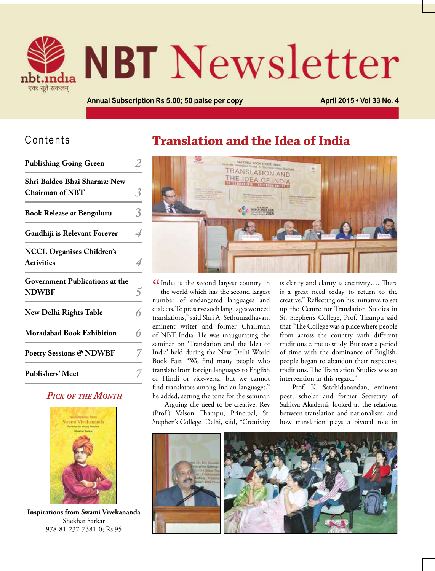

# **NBT** Newsletter

**Annual Subscription Rs 5.00; 50 paise per copy <b>April 2015 • Vol 33 No. 4** 

#### Contents

| <b>Publishing Going Green</b>                          |   |
|--------------------------------------------------------|---|
| Shri Baldeo Bhai Sharma: New<br><b>Chairman of NBT</b> | 3 |
| <b>Book Release at Bengaluru</b>                       | 3 |
| Gandhiji is Relevant Forever                           | 4 |
| <b>NCCL Organises Children's</b><br><b>Activities</b>  | 4 |
| <b>Government Publications at the</b><br><b>NDWBF</b>  |   |
| <b>New Delhi Rights Table</b>                          | 6 |
| <b>Moradabad Book Exhibition</b>                       | 6 |
| <b>Poetry Sessions @ NDWBF</b>                         |   |
| <b>Publishers' Meet</b>                                |   |

#### *Pick of the Month*



**Inspirations from Swami Vivekananda** Shekhar Sarkar 978-81-237-7381-0; Rs 95

#### **Translation and the Idea of India**



CIndia is the second largest country in<br>the world which has the second largest the world which has the second largest number of endangered languages and dialects. To preserve such languages we need translations," said Shri A. Sethumadhavan, eminent writer and former Chairman of NBT India. He was inaugurating the seminar on 'Translation and the Idea of India' held during the New Delhi World Book Fair. "We find many people who translate from foreign languages to English or Hindi or vice-versa, but we cannot find translators among Indian languages," he added, setting the tone for the seminar.

Arguing the need to be creative, Rev (Prof.) Valson Thampu, Principal, St. Stephen's College, Delhi, said, "Creativity is clarity and clarity is creativity…. There is a great need today to return to the creative." Reflecting on his initiative to set up the Centre for Translation Studies in St. Stephen's College, Prof. Thampu said that "The College was a place where people from across the country with different traditions came to study. But over a period of time with the dominance of English, people began to abandon their respective traditions. The Translation Studies was an intervention in this regard."

Prof. K. Satchidanandan, eminent poet, scholar and former Secretary of Sahitya Akademi, looked at the relations between translation and nationalism, and how translation plays a pivotal role in

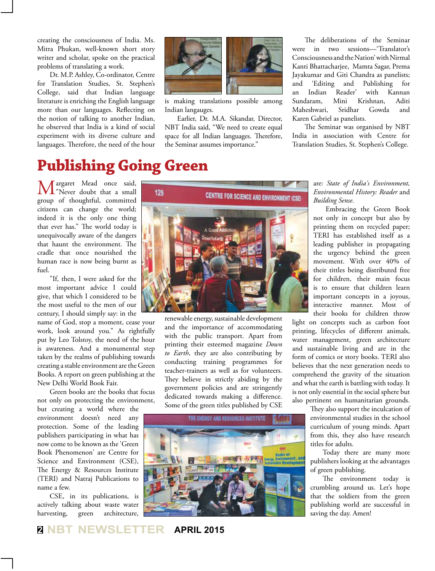creating the consciousness of India. Ms. Mitra Phukan, well-known short story writer and scholar, spoke on the practical problems of translating a work.

Dr. M.P. Ashley, Co-ordinator, Centre for Translation Studies, St. Stephen's College, said that Indian language literature is enriching the English language more than our languages. Reflecting on the notion of talking to another Indian, he observed that India is a kind of social experiment with its diverse culture and languages. Therefore, the need of the hour



is making translations possible among Indian langauges.

Earlier, Dr. M.A. Sikandar, Director, NBT India said, "We need to create equal space for all Indian languages. Therefore, the Seminar assumes importance."

The deliberations of the Seminar were in two sessions—'Translator's Consciousness and the Nation' with Nirmal Kanti Bhattacharjee, Mamta Sagar, Prema Jayakumar and Giti Chandra as panelists; and 'Editing and Publishing for Indian Reader' with Kannan Sundaram, Mini Krishnan, Aditi Maheshwari, Sridhar Gowda and Karen Gabriel as panelists.

The Seminar was organised by NBT India in association with Centre for Translation Studies, St. Stephen's College.

# **Publishing Going Green**

**M**<sup>argaret Mead once said,<br>"Never doubt that a small</sup> group of thoughtful, committed citizens can change the world; indeed it is the only one thing that ever has." The world today is unequivocally aware of the dangers that haunt the environment. The cradle that once nourished the human race is now being burnt as fuel.

"If, then, I were asked for the most important advice I could give, that which I considered to be the most useful to the men of our century, I should simply say: in the

name of God, stop a moment, cease your work, look around you." As rightfully put by Leo Tolstoy, the need of the hour is awareness. And a monumental step taken by the realms of publishing towards creating a stable environment are the Green Books. A report on green publishing at the New Delhi World Book Fair.

Green books are the books that focus not only on protecting the environment,

but creating a world where the environment doesn't need any protection. Some of the leading publishers participating in what has now come to be known as the 'Green Book Phenomenon' are Centre for Science and Environment (CSE), The Energy & Resources Institute (TERI) and Natraj Publications to name a few.

CSE, in its publications, is actively talking about waste water harvesting, green architecture,



renewable energy, sustainable development and the importance of accommodating with the public transport. Apart from printing their esteemed magazine *Down to Earth*, they are also contributing by conducting training programmes for teacher-trainers as well as for volunteers. They believe in strictly abiding by the government policies and are stringently dedicated towards making a difference. Some of the green titles published by CSE



are: *State of India's Environment, Environmental History: Reader* and *Building Sense*.

Embracing the Green Book not only in concept but also by printing them on recycled paper; TERI has established itself as a leading publisher in propagating the urgency behind the green movement. With over 40% of their tittles being distributed free for children, their main focus is to ensure that children learn important concepts in a joyous, interactive manner. Most of their books for children throw

light on concepts such as carbon foot printing, lifecycles of different animals, water management, green architecture and sustainable living and are in the form of comics or story books. TERI also believes that the next generation needs to comprehend the gravity of the situation and what the earth is battling with today. It is not only essential in the social sphere but also pertinent on humanitarian grounds.

> They also support the inculcation of environmental studies in the school curriculum of young minds. Apart from this, they also have research titles for adults.

> Today there are many more publishers looking at the advantages of green publishing.

> The environment today is crumbling around us. Let's hope that the soldiers from the green publishing world are successful in saving the day. Amen!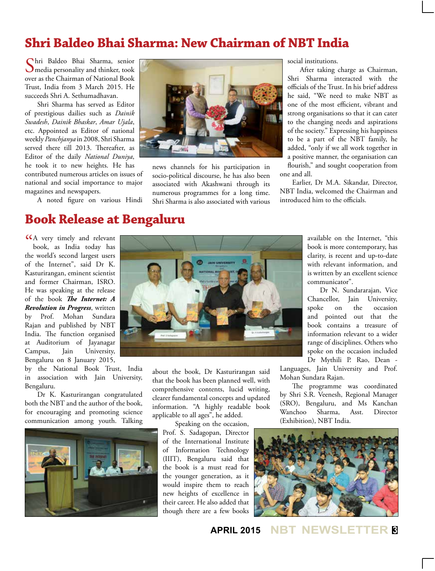#### **Shri Baldeo Bhai Sharma: New Chairman of NBT India**

Shri Baldeo Bhai Sharma, senior media personality and thinker, took over as the Chairman of National Book Trust, India from 3 March 2015. He succeeds Shri A. Sethumadhavan.

Shri Sharma has served as Editor of prestigious dailies such as *Dainik Swadesh*, *Dainik Bhaskar*, *Amar Ujala*, etc. Appointed as Editor of national weekly *Panchjanya* in 2008, Shri Sharma served there till 2013. Thereafter, as Editor of the daily *National Duniya*, he took it to new heights. He has

contributed numerous articles on issues of national and social importance to major magazines and newspapers.

A noted figure on various Hindi



news channels for his participation in socio-political discourse, he has also been associated with Akashwani through its numerous programmes for a long time. Shri Sharma is also associated with various

**JAIN UNIVERSITY** 

social institutions.

After taking charge as Chairman, Shri Sharma interacted with the officials of the Trust. In his brief address he said, "We need to make NBT as one of the most efficient, vibrant and strong organisations so that it can cater to the changing needs and aspirations of the society." Expressing his happiness to be a part of the NBT family, he added, "only if we all work together in a positive manner, the organisation can flourish," and sought cooperation from one and all.

Earlier, Dr M.A. Sikandar, Director, NBT India, welcomed the Chairman and introduced him to the officials.

#### **Book Release at Bengaluru**

CA very timely and relevant<br>book, as India today has book, as India today has the world's second largest users of the Internet", said Dr K. Kasturirangan, eminent scientist and former Chairman, ISRO. He was speaking at the release of the book *The Internet: A Revolution in Progress*, written by Prof. Mohan Sundara Rajan and published by NBT India. The function organised at Auditorium of Jayanagar Campus, Jain University, Bengaluru on 8 January 2015,

by the National Book Trust, India in association with Jain University, Bengaluru.

Dr K. Kasturirangan congratulated both the NBT and the author of the book, for encouraging and promoting science communication among youth. Talking



about the book, Dr Kasturirangan said that the book has been planned well, with comprehensive contents, lucid writing, clearer fundamental concepts and updated information. "A highly readable book applicable to all ages", he added.

Speaking on the occasion, Prof. S. Sadagopan, Director of the International Institute of Information Technology (IIIT), Bengaluru said that the book is a must read for the younger generation, as it would inspire them to reach new heights of excellence in their career. He also added that though there are a few books

available on the Internet, "this book is more contemporary, has clarity, is recent and up-to-date with relevant information, and is written by an excellent science communicator".

Dr N. Sundararajan, Vice Chancellor, Jain University, spoke on the occasion and pointed out that the book contains a treasure of information relevant to a wider range of disciplines. Others who spoke on the occasion included Dr Mythili P. Rao, Dean -

Languages, Jain University and Prof. Mohan Sundara Rajan.

The programme was coordinated by Shri S.R. Veenesh, Regional Manager (SRO), Bengaluru, and Ms Kanchan Wanchoo Sharma, Asst. Director (Exhibition), NBT India.



**APRIL 2015 NBT NEWSLETTER <sup>3</sup>**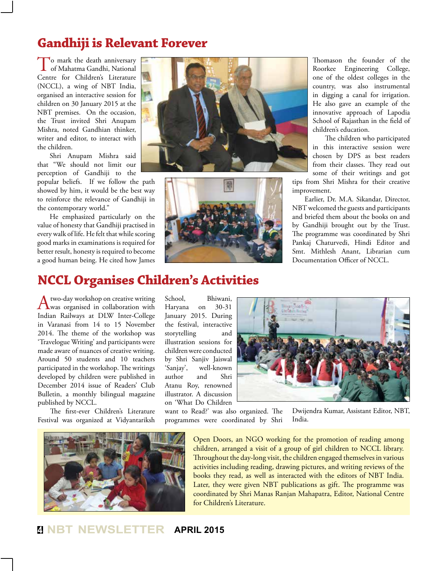#### **Gandhiji is Relevant Forever**

To mark the death anniversary<br>of Mahatma Gandhi, National Centre for Children's Literature (NCCL), a wing of NBT India, organised an interactive session for children on 30 January 2015 at the NBT premises. On the occasion, the Trust invited Shri Anupam Mishra, noted Gandhian thinker, writer and editor, to interact with the children.

Shri Anupam Mishra said that "We should not limit our perception of Gandhiji to the

popular beliefs. If we follow the path showed by him, it would be the best way to reinforce the relevance of Gandhiji in the contemporary world."

He emphasized particularly on the value of honesty that Gandhiji practised in every walk of life. He felt that while scoring good marks in examinations is required for better result, honesty is required to become a good human being. He cited how James





Thomason the founder of the Roorkee Engineering College, one of the oldest colleges in the country, was also instrumental in digging a canal for irrigation. He also gave an example of the innovative approach of Lapodia School of Rajasthan in the field of children's education.

The children who participated in this interactive session were chosen by DPS as best readers from their classes. They read out some of their writings and got

tips from Shri Mishra for their creative improvement.

Earlier, Dr. M.A. Sikandar, Director, NBT welcomed the guests and participants and briefed them about the books on and by Gandhiji brought out by the Trust. The programme was coordinated by Shri Pankaj Chaturvedi, Hindi Editor and Smt. Mithlesh Anant, Librarian cum Documentation Officer of NCCL.

## **NCCL Organises Children's Activities**

A two-day workshop on creative writing<br>was organised in collaboration with Indian Railways at DLW Inter-College in Varanasi from 14 to 15 November 2014. The theme of the workshop was 'Travelogue Writing' and participants were made aware of nuances of creative writing. Around 50 students and 10 teachers participated in the workshop. The writings developed by children were published in December 2014 issue of Readers' Club Bulletin, a monthly bilingual magazine published by NCCL.

The first-ever Children's Literature Festival was organized at Vidyantariksh School, Bhiwani, Haryana on 30-31 January 2015. During the festival, interactive storytelling and illustration sessions for children were conducted by Shri Sanjiv Jaiswal 'Sanjay', well-known author and Shri Atanu Roy, renowned illustrator. A discussion on 'What Do Children

want to Read?' was also organized. The programmes were coordinated by Shri India.

Dwijendra Kumar, Assistant Editor, NBT,

Open Doors, an NGO working for the promotion of reading among children, arranged a visit of a group of girl children to NCCL library. Throughout the day-long visit, the children engaged themselves in various activities including reading, drawing pictures, and writing reviews of the books they read, as well as interacted with the editors of NBT India. Later, they were given NBT publications as gift. The programme was coordinated by Shri Manas Ranjan Mahapatra, Editor, National Centre for Children's Literature.



**<sup>4</sup> NBT NEWSLETTER APRIL 2015**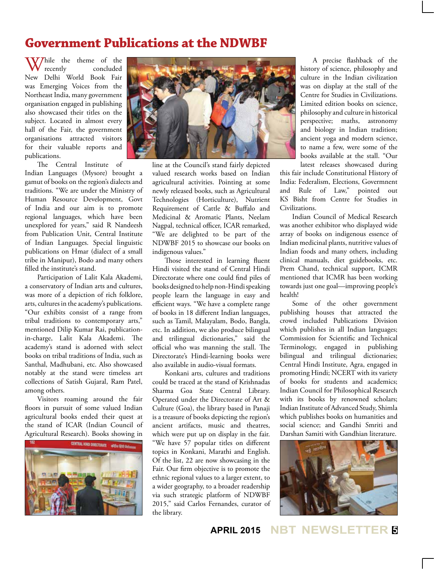#### **Government Publications at the NDWBF**

While the theme of the<br>recently concluded concluded New Delhi World Book Fair was Emerging Voices from the Northeast India, many government organisation engaged in publishing also showcased their titles on the subject. Located in almost every hall of the Fair, the government organisations attracted visitors for their valuable reports and publications.

The Central Institute of Indian Languages (Mysore) brought a gamut of books on the region's dialects and traditions. "We are under the Ministry of Human Resource Development, Govt of India and our aim is to promote regional languages, which have been unexplored for years," said R Nandeesh from Publication Unit, Central Institute of Indian Languages. Special linguistic publications on Hmar (dialect of a small tribe in Manipur), Bodo and many others filled the institute's stand.

Participation of Lalit Kala Akademi, a conservatory of Indian arts and cultures, was more of a depiction of rich folklore, arts, cultures in the academy's publications. "Our exhibits consist of a range from tribal traditions to contemporary arts," mentioned Dilip Kumar Rai, publicationin-charge, Lalit Kala Akademi. The academy's stand is adorned with select books on tribal traditions of India, such as Santhal, Madhubani, etc. Also showcased notably at the stand were timeless art collections of Satish Gujaral, Ram Patel, among others.

Visitors roaming around the fair floors in pursuit of some valued Indian agricultural books ended their quest at the stand of ICAR (Indian Council of Agricultural Research). Books showing in





line at the Council's stand fairly depicted valued research works based on Indian agricultural activities. Pointing at some newly released books, such as Agricultural Technologies (Horticulture), Nutrient Requirement of Cattle & Buffalo and Medicinal & Aromatic Plants, Neelam Nagpal, technical officer, ICAR remarked, "We are delighted to be part of the NDWBF 2015 to showcase our books on indigenous values."

Those interested in learning fluent Hindi visited the stand of Central Hindi Directorate where one could find piles of books designed to help non-Hindi speaking people learn the language in easy and efficient ways. "We have a complete range of books in 18 different Indian languages, such as Tamil, Malayalam, Bodo, Bangla, etc. In addition, we also produce bilingual and trilingual dictionaries," said the official who was manning the stall. The Directorate's Hindi-learning books were also available in audio-visual formats.

Konkani arts, cultures and traditions could be traced at the stand of Krishnadas Sharma Goa State Central Library. Operated under the Directorate of Art & Culture (Goa), the library based in Panaji is a treasure of books depicting the region's ancient artifacts, music and theatres, which were put up on display in the fair. "We have 57 popular titles on different topics in Konkani, Marathi and English. Of the list, 22 are now showcasing in the Fair. Our firm objective is to promote the ethnic regional values to a larger extent, to a wider geography, to a broader readership via such strategic platform of NDWBF 2015," said Carlos Fernandes, curator of the library.

A precise flashback of the history of science, philosophy and culture in the Indian civilization was on display at the stall of the Centre for Studies in Civilizations. Limited edition books on science, philosophy and culture in historical perspective; maths, astronomy and biology in Indian tradition; ancient yoga and modern science, to name a few, were some of the books available at the stall. "Our latest releases showcased during

this fair include Constitutional History of India: Federalism, Elections, Govermnent and Rule of Law," pointed out KS Bisht from Centre for Studies in Civilizations.

Indian Council of Medical Research was another exhibitor who displayed wide array of books on indigenous essence of Indian medicinal plants, nutritive values of Indian foods and many others, including clinical manuals, diet guidebooks, etc. Prem Chand, technical support, ICMR mentioned that ICMR has been working towards just one goal—improving people's health!

Some of the other government publishing houses that attracted the crowd included Publications Division which publishes in all Indian languages; Commission for Scientific and Technical Terminology, engaged in publishing bilingual and trilingual dictionaries; Central Hindi Institute, Agra, engaged in promoting Hindi; NCERT with its variety of books for students and academics; Indian Council for Philosophical Research with its books by renowned scholars; Indian Institute of Advanced Study, Shimla which publishes books on humanities and social science; and Gandhi Smriti and Darshan Samiti with Gandhian literature.



**APRIL 2015 NBT NEWSLETTER <sup>5</sup>**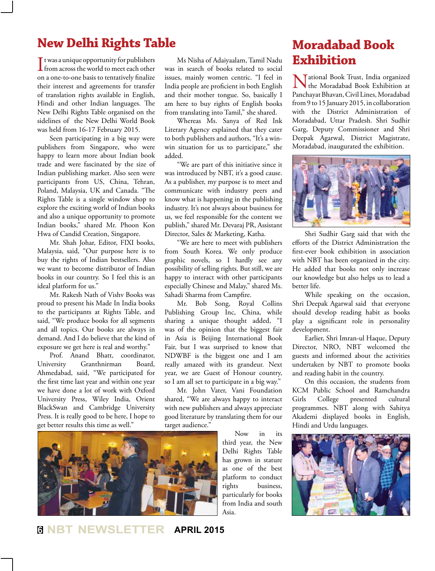#### **New Delhi Rights Table**

If twas a unique opportunity for publishers<br>from across the world to meet each other  $\blacksquare$  t was a unique opportunity for publishers on a one-to-one basis to tentatively finalize their interest and agreements for transfer of translation rights available in English, Hindi and other Indian languages. The New Delhi Rights Table organised on the sidelines of the New Delhi World Book was held from 16-17 February 2015.

Seen participating in a big way were publishers from Singapore, who were happy to learn more about Indian book trade and were fascinated by the size of Indian publishing market. Also seen were participants from US, China, Tehran, Poland, Malaysia, UK and Canada. "The Rights Table is a single window shop to explore the exciting world of Indian books and also a unique opportunity to promote Indian books," shared Mr. Phoon Kon Hwa of Candid Creation, Singapore.

Mr. Shah Johar, Editor, FIXI books, Malaysia, said, "Our purpose here is to buy the rights of Indian bestsellers. Also we want to become distributor of Indian books in our country. So I feel this is an ideal platform for us."

Mr. Rakesh Nath of Vishv Books was proud to present his Made In India books to the participants at Rights Table, and said, "We produce books for all segments and all topics. Our books are always in demand. And I do believe that the kind of exposure we get here is real and worthy."

Prof. Anand Bhatt, coordinator, University Granthnirman Board, Ahmedabad, said, "We participated for the first time last year and within one year we have done a lot of work with Oxford University Press, Wiley India, Orient BlackSwan and Cambridge University Press. It is really good to be here, I hope to get better results this time as well."

Ms Nisha of Adaiyaalam, Tamil Nadu was in search of books related to social issues, mainly women centric. "I feel in India people are proficient in both English and their mother tongue. So, basically I am here to buy rights of English books from translating into Tamil," she shared.

Whereas Ms. Sanya of Red Ink Literary Agency explained that they cater to both publishers and authors, "It's a winwin situation for us to participate," she added.

"We are part of this initiative since it was introduced by NBT, it's a good cause. As a publisher, my purpose is to meet and communicate with industry peers and know what is happening in the publishing industry. It's not always about business for us, we feel responsible for the content we publish," shared Mr. Devaraj PR, Assistant Director, Sales & Marketing, Katha.

"We are here to meet with publishers from South Korea. We only produce graphic novels, so I hardly see any possibility of selling rights. But still, we are happy to interact with other participants especially Chinese and Malay," shared Ms. Sahadi Sharma from Campfire.

Mr. Bob Song, Royal Collins Publishing Group Inc, China, while sharing a unique thought added, "I was of the opinion that the biggest fair in Asia is Beijing International Book Fair, but I was surprised to know that NDWBF is the biggest one and I am really amazed with its grandeur. Next year, we are Guest of Honour country, so I am all set to participate in a big way."

Mr. John Vater, Vani Foundation shared, "We are always happy to interact with new publishers and always appreciate good literature by translating them for our target audience."



Now in its third year, the New Delhi Rights Table has grown in stature as one of the best platform to conduct rights business, particularly for books from India and south Asia.

### **Moradabad Book Exhibition**

National Book Trust, India organized the Moradabad Book Exhibition at Panchayat Bhavan, Civil Lines, Moradabad from 9 to 15 January 2015, in collaboration with the District Administration of Moradabad, Uttar Pradesh. Shri Sudhir Garg, Deputy Commissioner and Shri Deepak Agarwal, District Magistrate, Moradabad, inaugurated the exhibition.



Shri Sudhir Garg said that with the efforts of the District Administration the first-ever book exhibition in association with NBT has been organized in the city. He added that books not only increase our knowledge but also helps us to lead a better life.

While speaking on the occasion, Shri Deepak Agarwal said that everyone should develop reading habit as books play a significant role in personality development.

Earlier, Shri Imran-ul Haque, Deputy Director, NRO, NBT welcomed the guests and informed about the activities undertaken by NBT to promote books and reading habit in the country.

On this occasion, the students from KCM Public School and Ramchandra Girls College presented cultural programmes. NBT along with Sahitya Akademi displayed books in English, Hindi and Urdu languages.



**<sup>6</sup> NBT NEWSLETTER APRIL 2015**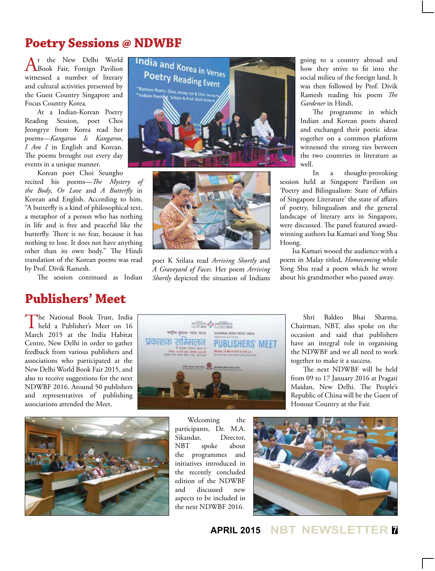#### **Poetry Sessions @ NDWBF**

At the New Delhi World Book Fair, Foreign Pavilion witnessed a number of literary and cultural activities presented by the Guest Country Singapore and Focus Country Korea.

At a Indian-Korean Poetry Reading Session, poet Choi Jeongrye from Korea read her poems—*Kangaroo Is Kangaroo*, *I Am I* in English and Korean. The poems brought out every day events in a unique manner.

Korean poet Choi Seungho recited his poems—*The Mystery of the Body*, *Or Love* and *A Butterfly* in Korean and English. According to him, "A butterfly is a kind of philosophical text, a metaphor of a person who has nothing in life and is free and peaceful like the butterfly. There is no fear, because it has nothing to lose. It does not have anything other than its own body." The Hindi translation of the Korean poems was read by Prof. Divik Ramesh.

The session continued as Indian

#### **Publishers' Meet**

The National Book Trust, India<br>held a Publisher's Meet on 16 March 2015 at the India Habitat Centre, New Delhi in order to gather feedback from various publishers and associations who participated at the New Delhi World Book Fair 2015, and also to receive suggestions for the next NDWBF 2016. Around 50 publishers and representatives of publishing associations attended the Meet.





poet K Srilata read *Arriving Shortly* and *A Graveyard of Faces*. Her poem *Arriving Shortly* depicted the situation of Indians

going to a country abroad and how they strive to fit into the social milieu of the foreign land. It was then followed by Prof. Divik Ramesh reading his poem *The Gardener* in Hindi.

The programme in which Indian and Korean poets shared and exchanged their poetic ideas together on a common platform witnessed the strong ties between the two countries in literature as well.

In a thought-provoking session held at Singapore Pavilion on 'Poetry and Bilingualism: State of Affairs of Singapore Literature' the state of affairs of poetry, bilingualism and the general landscape of literary arts in Singapore, were discussed. The panel featured awardwinning authors Isa Kamari and Yong Shu Hoong.

Isa Kamari wooed the audience with a poem in Malay titled, *Homecoming* while Yong Shu read a poem which he wrote about his grandmother who passed away.



Shri Baldeo Bhai Sharma, Chairman, NBT, also spoke on the occasion and said that publishers have an integral role in organising the NDWBF and we all need to work together to make it a success.

The next NDWBF will be held from 09 to 17 January 2016 at Pragati Maidan, New Delhi. The People's Republic of China will be the Guest of Honour Country at the Fair.



participants, Dr. M.A. Sikandar, Director,<br>NBT spoke about NBT spoke the programmes and initiatives introduced in the recently concluded edition of the NDWBF and discussed new aspects to be included in the next NDWBF 2016.

Welcoming the



**APRIL 2015 NBT NEWSLETTER <sup>7</sup>**